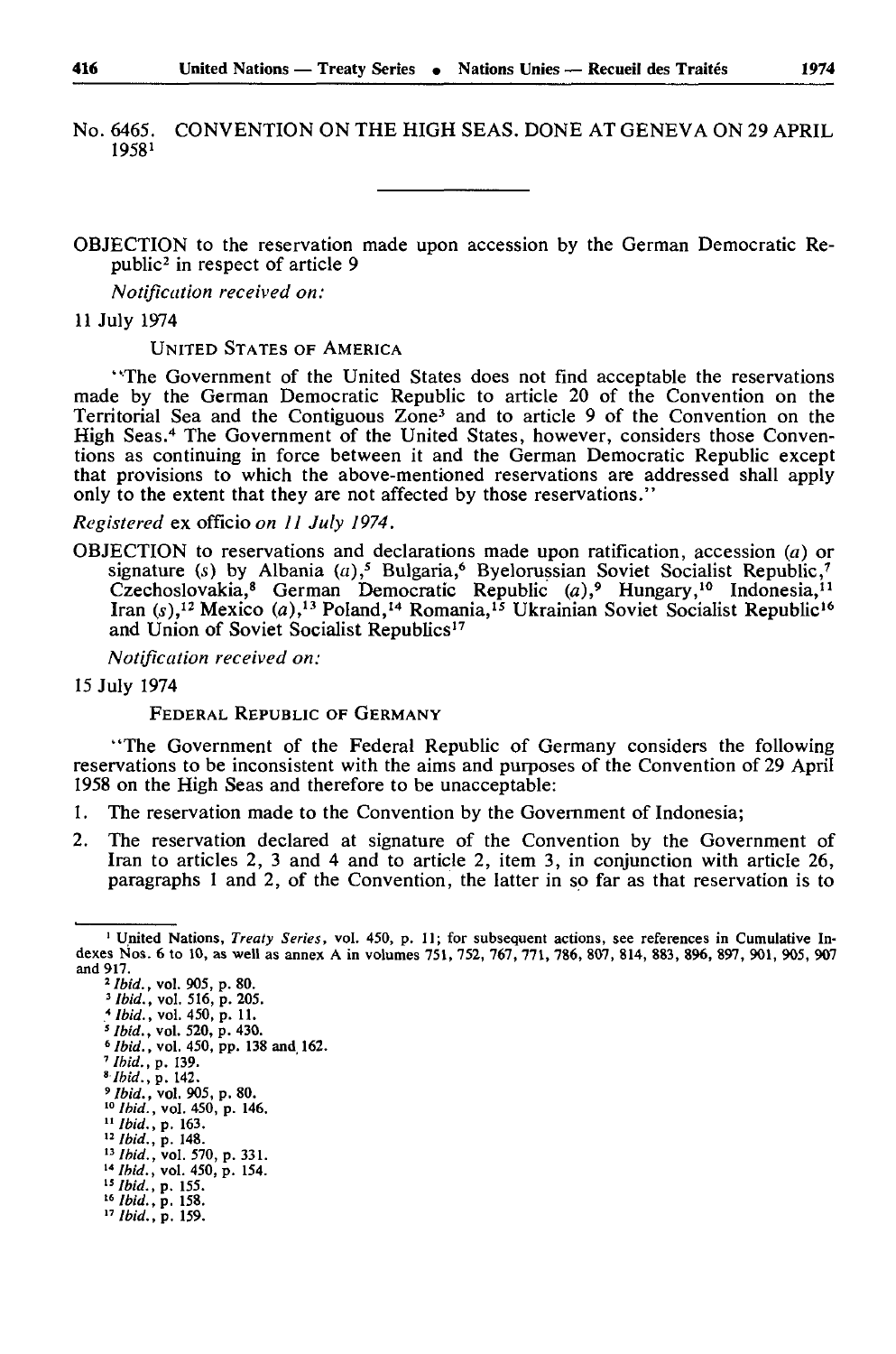No. 6465. CONVENTION ON THE HIGH SEAS. DONE AT GENEVA ON 29 APRIL 1958 <sup>1</sup>

OBJECTION to the reservation made upon accession by the German Democratic Re public2 in respect of article 9

*Notification received on:* 

11 July 1974

UNITED STATES OF AMERICA

"The Government of the United States does not find acceptable the reservations made by the German Democratic Republic to article 20 of the Convention on the Territorial Sea and the Contiguous Zone3 and to article 9 of the Convention on the High Seas.4 The Government of the United States, however, considers those Conven tions as continuing in force between it and the German Democratic Republic except that provisions to which the above-mentioned reservations are addressed shall apply only to the extent that they are not affected by those reservations."

*Registered* ex officio *on II July 1974.*

OBJECTION to reservations and declarations made upon ratification, accession (a) or signature (s) by Albania (a),<sup>5</sup> Bulgaria,<sup>6</sup> Byelorussian Soviet Socialist Republic,<sup>7</sup> Czechoslovakia,<sup>8</sup> German Democratic Republic *(a)*,<sup>9</sup> Hungary,<sup>10</sup> Indonesia,<sup>11</sup> Iran (s),<sup>12</sup> Mexico (a),<sup>13</sup> Poland,<sup>14</sup> Romania,<sup>15</sup> Ukrainian Soviet Socialist Republic<sup>16</sup> and Union of Soviet Socialist Republics<sup>17</sup>

*Notification received on:* 

15 July 1974

FEDERAL REPUBLIC OF GERMANY

"The Government of the Federal Republic of Germany considers the following reservations to be inconsistent with the aims and purposes of the Convention of 29 April 1958 on the High Seas and therefore to be unacceptable:

- 1. The reservation made to the Convention by the Government of Indonesia;
- 2. The reservation declared at signature of the Convention by the Government of Iran to articles 2, 3 and 4 and to article 2, item 3, in conjunction with article 26, paragraphs 1 and 2, of the Convention, the latter in so far as that reservation is to

- *<sup>s</sup> lbid.,* vol. 520, p. 430. <sup>6</sup> *Ibid.,* vol. 450, pp. 138 and 162.
- *7 Ibid., p.* 139.

- *<sup>9</sup> Ibid.,* vol. 905, p. 80. <sup>10</sup>*Ibid.,* vol. 450, p. 146.
- <sup>11</sup> Ibid., p. 163.
- <sup>12</sup> Ibid., p. 148.<br><sup>13</sup> Ibid., vol. 570, p. 331.
- <sup>14</sup>*Ibid.*  vol. 450, p. 154. *"Ibid.*  p. 155.
- <sup>16</sup>*Ibid.*  p. 158.
- " *Ibid.* p. 159.

<sup>1</sup> United Nations, *Treaty Series,* vol. 450, p. 11; for subsequent actions, see references in Cumulative In dexes Nos. 6 to 10, as well as annex A in volumes 751, 752, 767, 771, 786, 807, 814, 883, 896, 897, 901, 905, 907 and 917.

*<sup>2</sup> Ibid., vol.* 905, p. 80.

<sup>3</sup>*Ibid.,* vol. 516, p. 205.

*<sup>\*</sup>Ibid.,* vol. 450, p. 11.

*<sup>»</sup> Ibid., p.* 142.